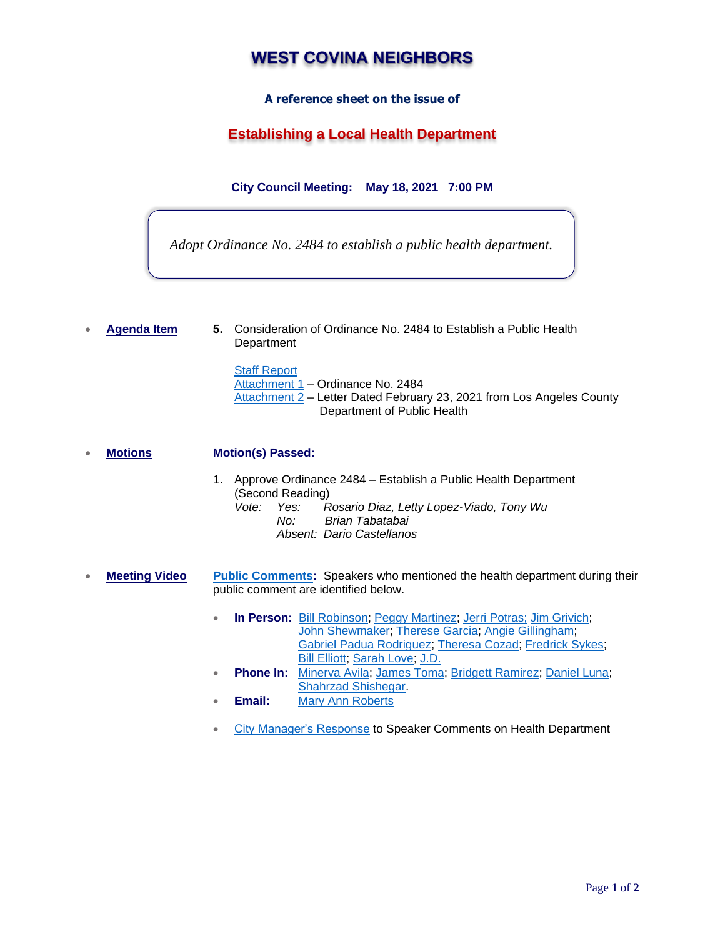# **WEST COVINA NEIGHBORS**

### **A reference sheet on the issue of**

## **Establishing a Local Health Department**

**City Council Meeting: May 18, 2021 7:00 PM**

*Adopt Ordinance No. 2484 to establish a public health department.*

• **Agenda Item 5.** Consideration of Ordinance No. 2484 to Establish a Public Health **Department** 

> **[Staff Report](https://a5d9eb56-b29f-422e-8a1d-6d172d8b9617.filesusr.com/ugd/840b23_e2469b5f5b1340c6aea2de13f778ac0f.pdf)** [Attachment 1](https://a5d9eb56-b29f-422e-8a1d-6d172d8b9617.filesusr.com/ugd/840b23_9a0f97691e554d649546082dc6ec798a.pdf) – Ordinance No. 2484 [Attachment 2](https://a5d9eb56-b29f-422e-8a1d-6d172d8b9617.filesusr.com/ugd/840b23_36397b0efb7c43a7990369e5229346e0.pdf) – Letter Dated February 23, 2021 from Los Angeles County Department of Public Health

• **Motions Motion(s) Passed:**

- 1. Approve Ordinance 2484 Establish a Public Health Department (Second Reading)<br>Vote: Yes: F *Vote: Yes: Rosario Diaz, Letty Lopez-Viado, Tony Wu No: Brian Tabatabai Absent: Dario Castellanos*
- **Meeting Video [Public Comments:](https://youtu.be/yRtucfQ2jV4?t=920)** Speakers who mentioned the health department during their public comment are identified below.
	- **In Person:** [Bill Robinson;](https://youtu.be/yRtucfQ2jV4?t=961) [Peggy Martinez;](https://youtu.be/yRtucfQ2jV4?t=1626) [Jerri Potras;](https://youtu.be/yRtucfQ2jV4?t=1954) [Jim Grivich;](https://youtu.be/yRtucfQ2jV4?t=2032) [John Shewmaker;](https://youtu.be/yRtucfQ2jV4?t=2171) [Therese](https://youtu.be/yRtucfQ2jV4?t=2537) Garcia; [Angie Gillingham;](https://youtu.be/yRtucfQ2jV4?t=2645) [Gabriel Padua](https://youtu.be/yRtucfQ2jV4?t=2811) Rodriguez; [Theresa Cozad;](https://youtu.be/yRtucfQ2jV4?t=2926) [Fredrick Sykes;](https://youtu.be/yRtucfQ2jV4?t=3136) [Bill Elliott;](https://youtu.be/yRtucfQ2jV4?t=3339) [Sarah Love;](https://youtu.be/yRtucfQ2jV4?t=3702) [J.D.](https://youtu.be/yRtucfQ2jV4?t=3854)
	- **Phone In:** [Minerva Avila;](https://youtu.be/yRtucfQ2jV4) [James Toma;](https://youtu.be/yRtucfQ2jV4?t=4207) [Bridgett Ramirez;](https://youtu.be/yRtucfQ2jV4?t=4366) [Daniel Luna;](https://youtu.be/yRtucfQ2jV4?t=4458) [Shahrzad Shishegar.](https://youtu.be/yRtucfQ2jV4?t=4883)
	- **Email:** [Mary Ann Roberts](https://www.westcovina.org/home/showpublisheddocument/19911/637569551737330000)
	- [City Manager's Response](https://youtu.be/yRtucfQ2jV4?t=5083) to Speaker Comments on Health Department